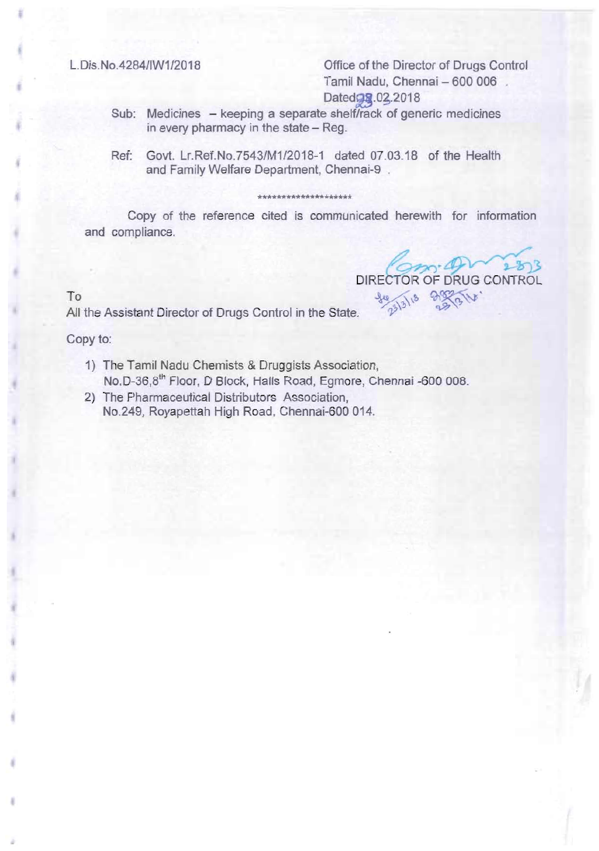L.Dis.No.4284/IW1/2018 Office of the Director of Drugs Control Tamil Nadu, Chennai - 600 006. Dated<sub>98</sub>.02.2018

- Sub: Medicines keeping a separate shelf/rack of generic medicines in every pharmacy in the state - Reg.
- Ref: Govt. Lr.Ref.No.7543/M1/2018-1 dated 07.03.18 of the Health and Family Welfare Department, Chennai-9

## \*\*\*\*\*\*\*\*\*\*\*\*\*\*\*\*\*\*\*\*

Copy of the reference cited is communicated herewith for information and compliance.

 $5 - 2$ DIRECTOR OF DRUG CONTROL

To <sup>36</sup> All the Assistant Director of Drugs Control in the State.<sup>36</sup>

Copy to:

- 1) The Tamil Nadu Chemists & Druggists Association, No.D-36,8<sup>th</sup> Floor, D Block, Halls Road, Egmore, Chennai -600 008.
- 2) The Pharmaceutical Distributors Association, No.249, Royapettah High Road, Chennai-600 014.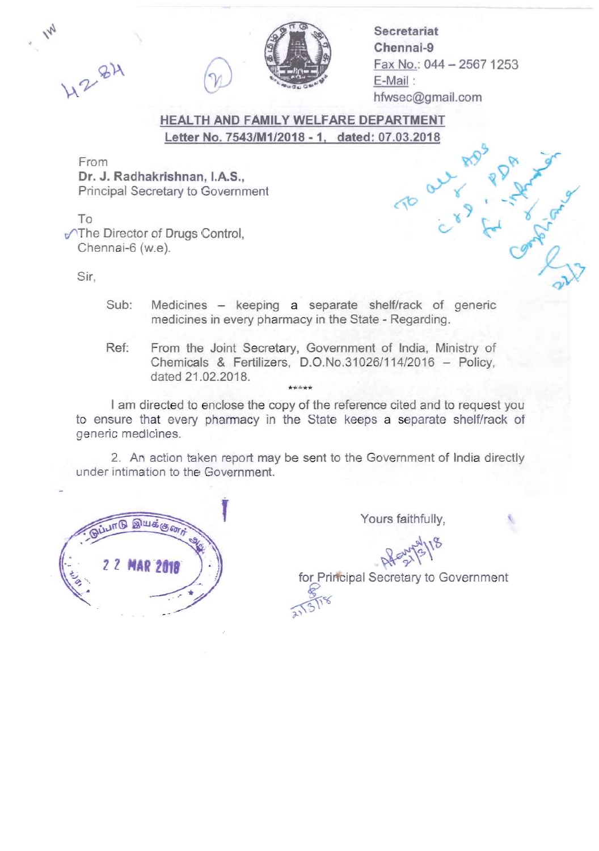

**Secretariat** Chennai-9 Fax No.: 044 - 2567 1253 E-Mail : hfwsec@gmail.com

/

7

## HEALTH AND FAMILY WELFARE DEPARTMENT Letter No. 7543/M1/2018 - 1, dated: 07.03.2018

From Dr. J. Radhakrishnan, I.A.S., Principal Secretary to Government

To  $\sqrt{\ }$ The Director of Drugs Control, Chennai-6 (w.e).

Sir,

4284

- Sub: Medicines  $-$  keeping a separate shelf/rack of generic medicines in every pharmacy in the State - Regarding.
- Ref: From the Joint Secretary, Government of India, Ministry of Chemicals & Fertilizers, D.O.No.31026/114/2016 - Policy, dated 21.02.2018. \*\*\*\*\*

I am directed to enclose the copy of the reference cited and to request you to ensure that every pharmacy in the State keeps a separate shelf/rack of generic medicines.

2. An action taken report may be sent to the Government of India directly under intimation to the Government.

 $\mathcal{F}$ 



Yours faithfully,

 $100 \times 10^{-1}$ 

 $8-15$ 

for Principal Secretary to Government  $rac{8}{2155}$